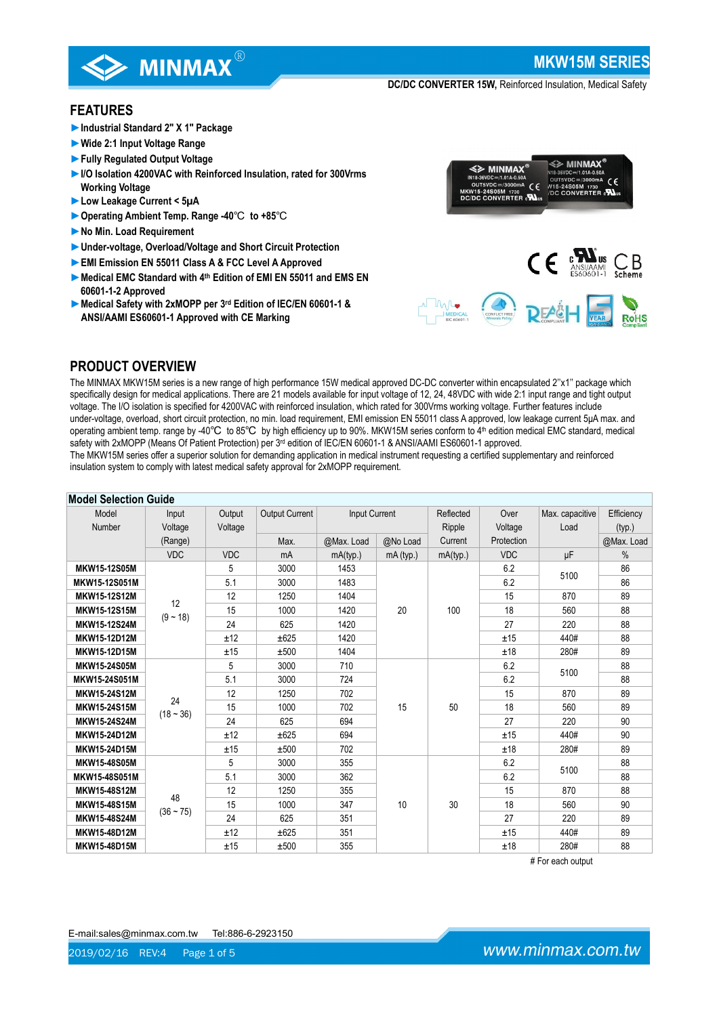

**MKW15M SERIES**

**DC/DC CONVERTER 15W,** Reinforced Insulation, Medical Safety

### **FEATURES**

- **►Industrial Standard 2" X 1" Package**
- **►Wide 2:1 Input Voltage Range**
- **►Fully Regulated Output Voltage**
- **►I/O Isolation 4200VAC with Reinforced Insulation, rated for 300Vrms Working Voltage**
- **►Low Leakage Current < 5µA**
- **►Operating Ambient Temp. Range -40**℃ **to +85**℃
- **►No Min. Load Requirement**
- **►Under-voltage, Overload/Voltage and Short Circuit Protection**
- **►EMI Emission EN 55011 Class A & FCC Level A Approved**
- **►Medical EMC Standard with 4th Edition of EMI EN 55011 and EMS EN 60601-1-2 Approved**
- **►Medical Safety with 2xMOPP per 3rd Edition of IEC/EN 60601-1 & ANSI/AAMI ES60601-1 Approved with CE Marking**



## **PRODUCT OVERVIEW**

The MINMAX MKW15M series is a new range of high performance 15W medical approved DC-DC converter within encapsulated 2''x1'' package which specifically design for medical applications. There are 21 models available for input voltage of 12, 24, 48VDC with wide 2:1 input range and tight output voltage. The I/O isolation is specified for 4200VAC with reinforced insulation, which rated for 300Vrms working voltage. Further features include under-voltage, overload, short circuit protection, no min. load requirement, EMI emission EN 55011 class A approved, low leakage current 5μA max. and operating ambient temp. range by -40℃ to 85℃ by high efficiency up to 90%. MKW15M series conform to 4<sup>th</sup> edition medical EMC standard, medical safety with 2xMOPP (Means Of Patient Protection) per 3<sup>rd</sup> edition of IEC/EN 60601-1 & ANSI/AAMI ES60601-1 approved.

The MKW15M series offer a superior solution for demanding application in medical instrument requesting a certified supplementary and reinforced insulation system to comply with latest medical safety approval for 2xMOPP requirement.

| <b>Model Selection Guide</b> |                   |            |                       |               |           |           |            |                 |            |    |
|------------------------------|-------------------|------------|-----------------------|---------------|-----------|-----------|------------|-----------------|------------|----|
| Model                        | Input             | Output     | <b>Output Current</b> | Input Current |           | Reflected | Over       | Max. capacitive | Efficiency |    |
| Number                       | Voltage           | Voltage    |                       |               |           | Ripple    | Voltage    | Load            | (typ.)     |    |
|                              | (Range)           |            | Max.                  | @Max. Load    | @No Load  | Current   | Protection | @Max. Load      |            |    |
|                              | <b>VDC</b>        | <b>VDC</b> | mA                    | mA(typ.)      | mA (typ.) | mA(typ.)  | <b>VDC</b> | μF              | $\%$       |    |
| MKW15-12S05M                 |                   | 5          | 3000                  | 1453          |           |           | 6.2        | 5100            | 86         |    |
| MKW15-12S051M                |                   | 5.1        | 3000                  | 1483          |           |           | 6.2        |                 | 86         |    |
| <b>MKW15-12S12M</b>          | 12                | 12         | 1250                  | 1404          |           |           | 15         | 870             | 89         |    |
| MKW15-12S15M                 | $(9 - 18)$        | 15         | 1000                  | 1420          | 20        | 100       | 18         | 560             | 88         |    |
| <b>MKW15-12S24M</b>          |                   | 24         | 625                   | 1420          |           |           |            | 27              | 220        | 88 |
| MKW15-12D12M                 |                   | ±12        | ±625                  | 1420          |           |           |            | ±15             | 440#       | 88 |
| MKW15-12D15M                 |                   | ±15        | ±500                  | 1404          |           |           | ±18        | 280#            | 89         |    |
| <b>MKW15-24S05M</b>          |                   | 5          | 3000                  | 710           |           |           |            | 6.2             | 5100       | 88 |
| MKW15-24S051M                | 24<br>$(18 - 36)$ | 5.1        | 3000                  | 724           |           |           | 6.2        |                 | 88         |    |
| MKW15-24S12M                 |                   | 12         | 1250                  | 702           |           |           | 15         | 870             | 89         |    |
| MKW15-24S15M                 |                   | 15         | 1000                  | 702           | 15        | 50        | 18         | 560             | 89         |    |
| MKW15-24S24M                 |                   | 24         | 625                   | 694           |           |           | 27         | 220             | 90         |    |
| MKW15-24D12M                 |                   | ±12        | ±625                  | 694           |           |           | ±15        | 440#            | 90         |    |
| MKW15-24D15M                 |                   | ±15        | ±500                  | 702           |           |           | ±18        | 280#            | 89         |    |
| MKW15-48S05M                 |                   | 5          | 3000                  | 355           |           |           | 6.2        | 5100            | 88         |    |
| MKW15-48S051M                |                   | 5.1        | 3000                  | 362           |           |           | 6.2        |                 | 88         |    |
| <b>MKW15-48S12M</b>          | 48                | 12         | 1250                  | 355           |           |           | 15         | 870             | 88         |    |
| MKW15-48S15M                 |                   | 15         | 1000                  | 347           | 10        | 30        | 18         | 560             | 90         |    |
| MKW15-48S24M                 | $(36 - 75)$       | 24         | 625                   | 351           |           |           | 27         | 220             | 89         |    |
| MKW15-48D12M                 |                   | ±12        | ±625                  | 351           |           |           | ±15        | 440#            | 89         |    |
| MKW15-48D15M                 |                   | ±15        | ±500                  | 355           |           |           | ±18        | 280#            | 88         |    |

# For each output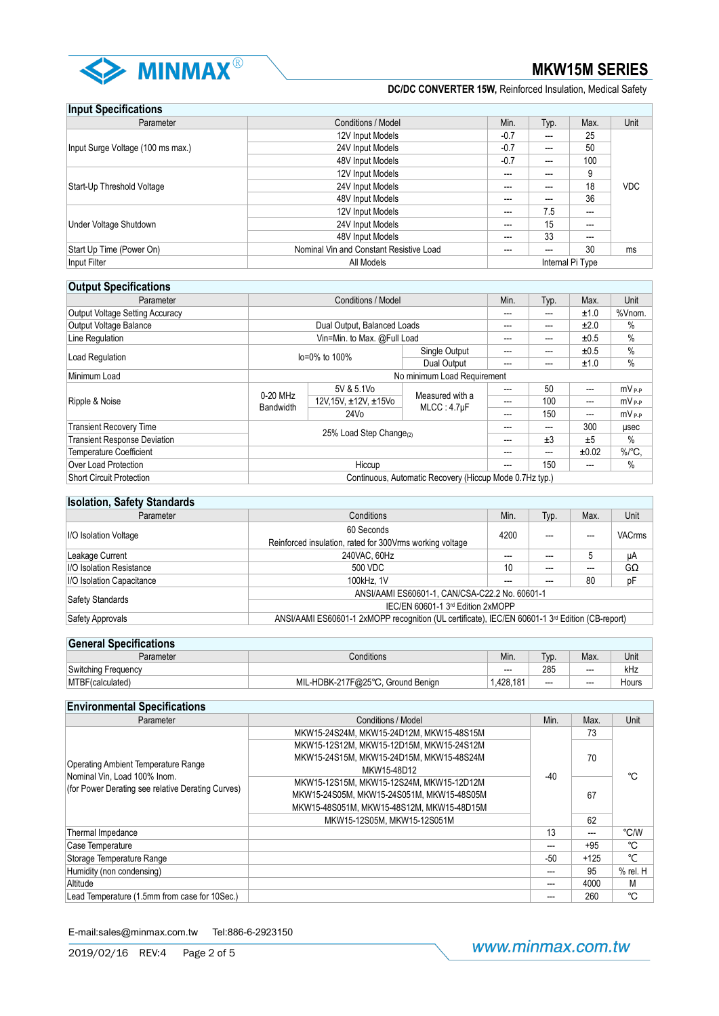

| <b>Input Specifications</b>       |                                         |        |       |                          |            |
|-----------------------------------|-----------------------------------------|--------|-------|--------------------------|------------|
| Parameter                         | Conditions / Model                      | Min.   | Typ.  | Max.                     | Unit       |
|                                   | 12V Input Models                        | $-0.7$ | ---   | 25                       |            |
| Input Surge Voltage (100 ms max.) | 24V Input Models                        |        | ---   | 50                       |            |
|                                   | 48V Input Models                        | $-0.7$ | $---$ | 100                      |            |
|                                   | 12V Input Models                        | ---    | ---   | 9                        |            |
| Start-Up Threshold Voltage        | 24V Input Models                        | ---    | ---   | 18                       | <b>VDC</b> |
|                                   | 48V Input Models                        | ---    | ---   | 36                       |            |
|                                   | 12V Input Models                        | ---    | 7.5   | $\overline{\phantom{a}}$ |            |
| Under Voltage Shutdown            | 24V Input Models                        | ---    | 15    | ---                      |            |
|                                   | 48V Input Models                        | ---    | 33    | $---$                    |            |
| Start Up Time (Power On)          | Nominal Vin and Constant Resistive Load | ---    | ---   | 30                       | ms         |
| Input Filter                      | All Models                              |        |       | Internal Pi Type         |            |

### **Output Specifications**

| Parameter                              | <b>Conditions / Model</b>                               |                       | Min.                                 | Typ. | Max.  | Unit                 |            |
|----------------------------------------|---------------------------------------------------------|-----------------------|--------------------------------------|------|-------|----------------------|------------|
| <b>Output Voltage Setting Accuracy</b> |                                                         |                       |                                      | ---  | ---   | ±1.0                 | %Vnom.     |
| <b>Output Voltage Balance</b>          | Dual Output, Balanced Loads                             |                       |                                      | ---  | ---   | ±2.0                 | %          |
| Line Regulation                        | Vin=Min. to Max. @Full Load                             |                       |                                      | ---  | ---   | ±0.5                 | %          |
| Load Regulation                        | Single Output<br>lo=0% to 100%<br><b>Dual Output</b>    |                       | ---                                  | ---  | ±0.5  | $\%$                 |            |
|                                        |                                                         |                       | ---                                  | ---  | ±1.0  | $\%$                 |            |
| Minimum Load                           | No minimum Load Requirement                             |                       |                                      |      |       |                      |            |
|                                        | 0-20 MHz<br><b>Bandwidth</b>                            | 5V & 5.1Vo            | Measured with a<br>$MLCC: 4.7 \mu F$ |      | 50    | ---                  | $mV_{P-P}$ |
| Ripple & Noise                         |                                                         | 12V, 15V, ±12V, ±15Vo |                                      | ---  | 100   | ---                  | $mV_{P-P}$ |
|                                        |                                                         | 24V <sub>o</sub>      |                                      | ---  | 150   | ---                  | $mV_{P-P}$ |
| <b>Transient Recovery Time</b>         | 25% Load Step Change <sub>(2)</sub>                     |                       | ---                                  | ---  | 300   | usec                 |            |
| <b>Transient Response Deviation</b>    |                                                         |                       | ---                                  | ±3   | ±5    | %                    |            |
| <b>Temperature Coefficient</b>         |                                                         |                       | ---                                  | ---  | ±0.02 | $\%$ <sup>o</sup> C, |            |
| Over Load Protection                   | Hiccup                                                  |                       | ---                                  | 150  | ---   | %                    |            |
| Short Circuit Protection               | Continuous, Automatic Recovery (Hiccup Mode 0.7Hz typ.) |                       |                                      |      |       |                      |            |

### **Isolation, Safety Standards**

| Parameter                       | Conditions                                                                                                  | Min. | Typ. | Max. | Unit      |  |
|---------------------------------|-------------------------------------------------------------------------------------------------------------|------|------|------|-----------|--|
| <b>I/O Isolation Voltage</b>    | 60 Seconds<br>Reinforced insulation, rated for 300Vrms working voltage                                      |      | ---  |      | VACrms    |  |
| Leakage Current                 | 240VAC, 60Hz                                                                                                |      |      |      | μA        |  |
| <b>I/O Isolation Resistance</b> | 500 VDC                                                                                                     |      | ---  |      | $G\Omega$ |  |
| I/O Isolation Capacitance       | 100kHz. 1V                                                                                                  | ---  |      | 80   | pF        |  |
|                                 | ANSI/AAMI ES60601-1, CAN/CSA-C22.2 No. 60601-1                                                              |      |      |      |           |  |
| Safety Standards                | IEC/EN 60601-1 3rd Edition 2xMOPP                                                                           |      |      |      |           |  |
| Safety Approvals                | ANSI/AAMI ES60601-1 2xMOPP recognition (UL certificate), IEC/EN 60601-1 3 <sup>rd</sup> Edition (CB-report) |      |      |      |           |  |

# **General Specifications** Parameter Conditions Conditions (Min. Nin. Nin. Nin. Max. Unit

| $\sim$<br>Switch<br>1000<br>٦a<br>எட |                                                                                                       | ---    | 285  | $--$ | 11 I L |
|--------------------------------------|-------------------------------------------------------------------------------------------------------|--------|------|------|--------|
| ۱M<br>เษ                             | $-\infty$<br>٨I٢<br>א⊓ר<br><b>Benian</b><br>irnun<br>$\overline{\phantom{a}}$<br>- ''<br>-.<br>Julian | $\sim$ | $--$ | $--$ | Hours  |
|                                      |                                                                                                       |        |      |      |        |

| <b>Environmental Specifications</b>                                               |                                                                                                                                                                                                                                                    |       |        |              |
|-----------------------------------------------------------------------------------|----------------------------------------------------------------------------------------------------------------------------------------------------------------------------------------------------------------------------------------------------|-------|--------|--------------|
| Parameter                                                                         | Conditions / Model                                                                                                                                                                                                                                 | Min.  | Max.   | Unit         |
|                                                                                   | MKW15-24S24M. MKW15-24D12M. MKW15-48S15M                                                                                                                                                                                                           |       | 73     |              |
| <b>Operating Ambient Temperature Range</b>                                        | MKW15-12S12M, MKW15-12D15M, MKW15-24S12M<br>MKW15-24S15M, MKW15-24D15M, MKW15-48S24M<br>MKW15-48D12<br>$-40$<br>MKW15-12S15M, MKW15-12S24M, MKW15-12D12M<br>MKW15-24S05M, MKW15-24S051M, MKW15-48S05M<br>MKW15-48S051M. MKW15-48S12M. MKW15-48D15M |       | 70     | °C           |
| Nominal Vin, Load 100% Inom.<br>(for Power Derating see relative Derating Curves) |                                                                                                                                                                                                                                                    |       | 67     |              |
|                                                                                   | MKW15-12S05M. MKW15-12S051M                                                                                                                                                                                                                        |       | 62     |              |
| Thermal Impedance                                                                 |                                                                                                                                                                                                                                                    | 13    | ---    | °C/W         |
| Case Temperature                                                                  |                                                                                                                                                                                                                                                    |       | $+95$  | °C           |
| Storage Temperature Range                                                         |                                                                                                                                                                                                                                                    | $-50$ | $+125$ | °C           |
| Humidity (non condensing)                                                         |                                                                                                                                                                                                                                                    |       | 95     | $%$ rel. $H$ |
| Altitude                                                                          |                                                                                                                                                                                                                                                    | ---   | 4000   | М            |
| Lead Temperature (1.5mm from case for 10Sec.)                                     |                                                                                                                                                                                                                                                    |       | 260    | °C           |

E-mail:sales@minmax.com.tw Tel:886-6-2923150

www.minmax.com.tw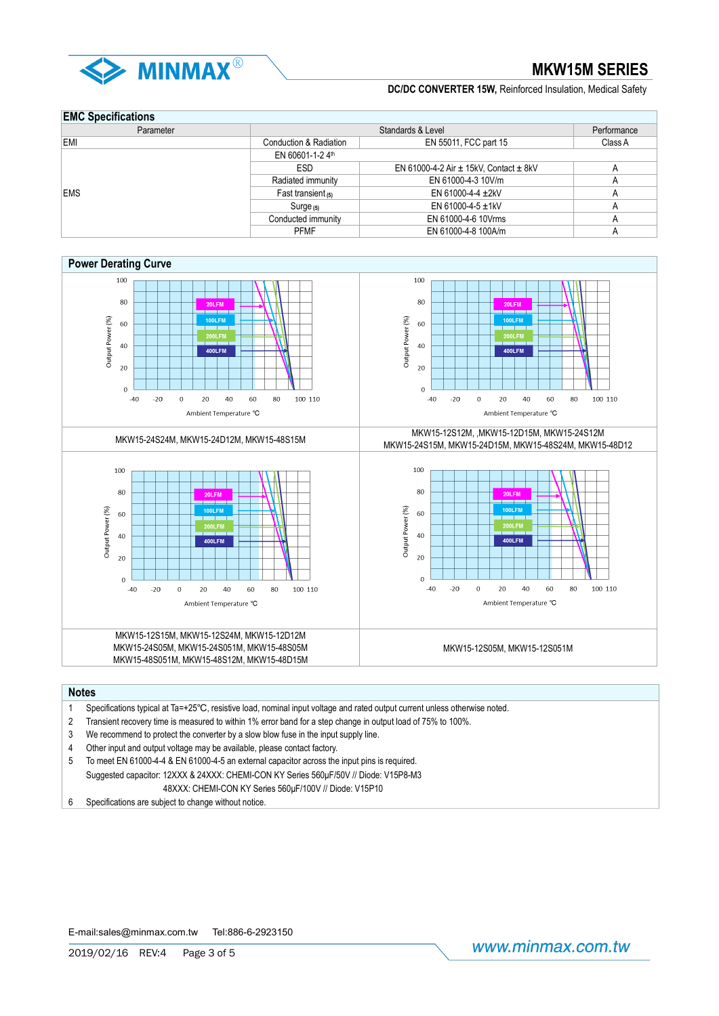

### **EMC Specifications**

| Parameter  |                        | Performance                                    |         |  |  |  |
|------------|------------------------|------------------------------------------------|---------|--|--|--|
| EMI        | Conduction & Radiation | EN 55011, FCC part 15                          | Class A |  |  |  |
|            | EN 60601-1-24th        |                                                |         |  |  |  |
|            | ESD                    | EN 61000-4-2 Air $\pm$ 15kV, Contact $\pm$ 8kV | A       |  |  |  |
|            | Radiated immunity      | EN 61000-4-3 10V/m                             | А       |  |  |  |
| <b>EMS</b> | Fast transient $(5)$   | EN 61000-4-4 $\pm$ 2kV                         | А       |  |  |  |
|            | Surge $(5)$            | EN 61000-4-5 $\pm$ 1kV                         | A       |  |  |  |
|            | Conducted immunity     | EN 61000-4-6 10Vrms                            | А       |  |  |  |
|            | <b>PFMF</b>            | EN 61000-4-8 100A/m                            | A       |  |  |  |





#### **Notes**

- 1 Specifications typical at Ta=+25℃, resistive load, nominal input voltage and rated output current unless otherwise noted.
- 2 Transient recovery time is measured to within 1% error band for a step change in output load of 75% to 100%.
- 3 We recommend to protect the converter by a slow blow fuse in the input supply line.
- 4 Other input and output voltage may be available, please contact factory.
- 5 To meet EN 61000-4-4 & EN 61000-4-5 an external capacitor across the input pins is required. Suggested capacitor: 12XXX & 24XXX: CHEMI-CON KY Series 560μF/50V // Diode: V15P8-M3 48XXX: CHEMI-CON KY Series 560μF/100V // Diode: V15P10
- 6 Specifications are subject to change without notice.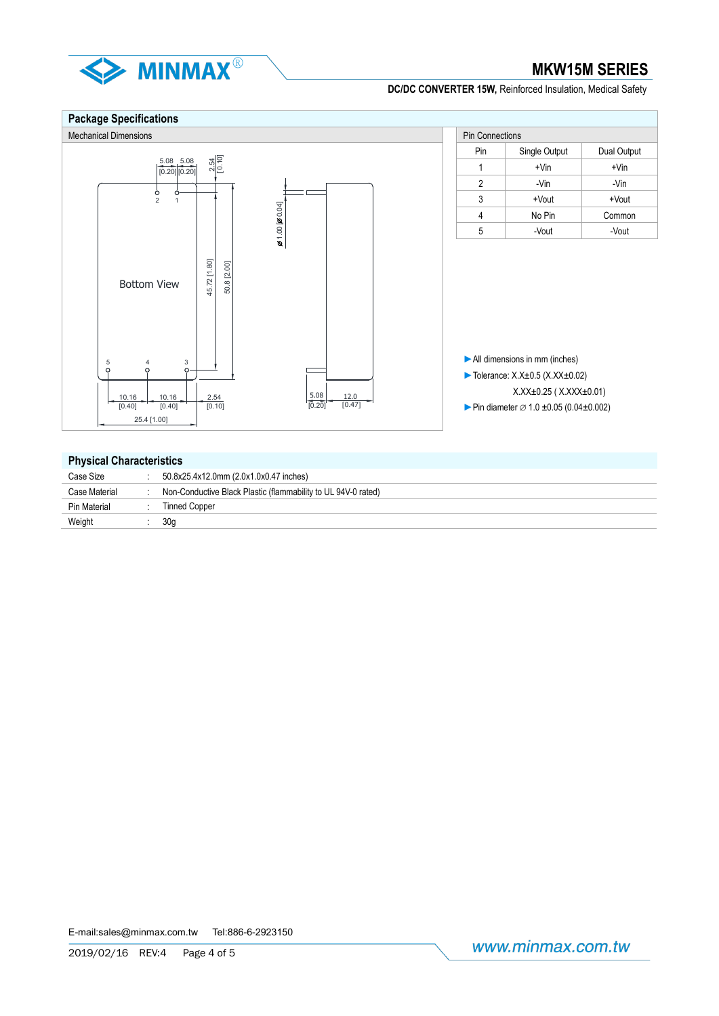

#### **Package Specifications** Mechanical Dimensions **Pin Connections** Pin Connections Pin Connections Pin Connections Pin Connections Pin Connections Pin | Single Output | Dual Output 2.54 [0.10] 5.08 5.08  $1 + \text{Vin}$  +  $\text{Vin}$ [0.20] [0.20] $2 \qquad | \qquad -V$ in  $| \qquad -V$ in  $3 +$ Vout +Vout 2 1  $20.00$   $[20.04]$  $1.00$   $[20.04]$ 4 No Pin Common 5 -Vout - Vout 45.72 [1.80] 45.72 [1.80] 50.8 [2.00] 50.8 [2.00] Bottom View ►All dimensions in mm (inches) 5 4 3 ►Tolerance: X.X±0.5 (X.XX±0.02) X.XX±0.25 ( X.XXX±0.01) 10.16 10.16 2.54 5.08  $\frac{12.0}{[0.47]}$  $[0.40]$  $[0.40]$  $\frac{1}{[0.10]}$ ► Pin diameter  $\varnothing$  1.0 ±0.05 (0.04±0.002) [0.20] 25.4 [1.00]

#### **Physical Characteristics**

| Case Size           | 50.8x25.4x12.0mm (2.0x1.0x0.47 inches)                        |
|---------------------|---------------------------------------------------------------|
| Case Material       | Non-Conductive Black Plastic (flammability to UL 94V-0 rated) |
| <b>Pin Material</b> | <b>Tinned Copper</b>                                          |
| Weight              | 30a                                                           |
|                     |                                                               |